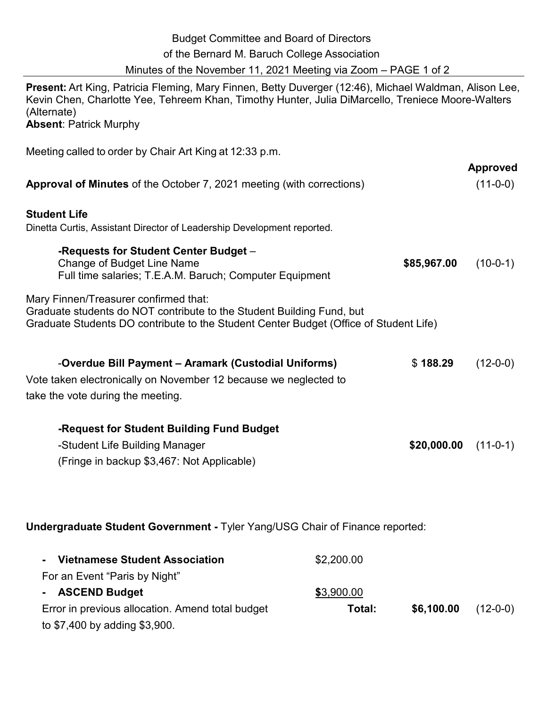| <b>Budget Committee and Board of Directors</b>                  |  |
|-----------------------------------------------------------------|--|
| of the Bernard M. Baruch College Association                    |  |
| Minutes of the November 11, 2021 Meeting via Zoom – PAGE 1 of 2 |  |
|                                                                 |  |

**Present:** Art King, Patricia Fleming, Mary Finnen, Betty Duverger (12:46), Michael Waldman, Alison Lee, Kevin Chen, Charlotte Yee, Tehreem Khan, Timothy Hunter, Julia DiMarcello, Treniece Moore-Walters (Alternate) **Absent: Patrick Murphy** 

Meeting called to order by Chair Art King at 12:33 p.m.

| <b>Approval of Minutes</b> of the October 7, 2021 meeting (with corrections)                                                                                                                            |             | <b>Approved</b><br>$(11-0-0)$ |
|---------------------------------------------------------------------------------------------------------------------------------------------------------------------------------------------------------|-------------|-------------------------------|
| <b>Student Life</b><br>Dinetta Curtis, Assistant Director of Leadership Development reported.                                                                                                           |             |                               |
| -Requests for Student Center Budget -<br>Change of Budget Line Name<br>Full time salaries; T.E.A.M. Baruch; Computer Equipment                                                                          | \$85,967.00 | $(10-0-1)$                    |
| Mary Finnen/Treasurer confirmed that:<br>Graduate students do NOT contribute to the Student Building Fund, but<br>Graduate Students DO contribute to the Student Center Budget (Office of Student Life) |             |                               |
| -Overdue Bill Payment – Aramark (Custodial Uniforms)<br>Vote taken electronically on November 12 because we neglected to<br>take the vote during the meeting.                                           | \$188.29    | $(12-0-0)$                    |
| -Request for Student Building Fund Budget<br>-Student Life Building Manager<br>(Fringe in backup \$3,467: Not Applicable)                                                                               | \$20,000.00 | $(11-0-1)$                    |

## **Undergraduate Student Government -** Tyler Yang/USG Chair of Finance reported:

| <b>Vietnamese Student Association</b>            | \$2,200.00 |            |            |
|--------------------------------------------------|------------|------------|------------|
| For an Event "Paris by Night"                    |            |            |            |
| - ASCEND Budget                                  | \$3,900.00 |            |            |
| Error in previous allocation. Amend total budget | Total:     | \$6,100.00 | $(12-0-0)$ |
| to \$7,400 by adding \$3,900.                    |            |            |            |